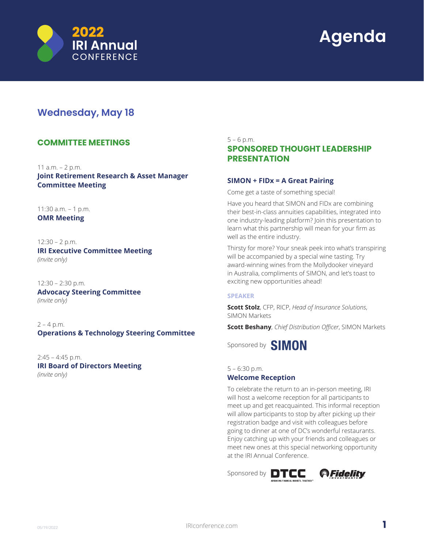



# **Wednesday, May 18**

# **COMMITTEE MEETINGS**

11 a.m. – 2 p.m.

**Joint Retirement Research & Asset Manager Committee Meeting**

11:30 a.m. – 1 p.m. **OMR Meeting**

12:30 – 2 p.m. **IRI Executive Committee Meeting** *(invite only)*

12:30 – 2:30 p.m. **Advocacy Steering Committee** *(invite only)*

 $2 - 4$  p.m. **Operations & Technology Steering Committee**

2:45 – 4:45 p.m. **IRI Board of Directors Meeting** *(invite only)*

### $5 - 6$  p.m.

# **SPONSORED THOUGHT LEADERSHIP PRESENTATION**

# **SIMON + FIDx = A Great Pairing**

Come get a taste of something special!

Have you heard that SIMON and FIDx are combining their best-in-class annuities capabilities, integrated into one industry-leading platform? Join this presentation to learn what this partnership will mean for your firm as well as the entire industry.

Thirsty for more? Your sneak peek into what's transpiring will be accompanied by a special wine tasting. Try award-winning wines from the Mollydooker vineyard in Australia, compliments of SIMON, and let's toast to exciting new opportunities ahead!

# **SPEAKER**

**Scott Stolz**, CFP, RICP, *Head of Insurance Solutions*, SIMON Markets

**Scott Beshany**, *Chief Distribution Officer*, SIMON Markets

Sponsored by **SIMON** 

# 5 – 6:30 p.m. **Welcome Reception**

To celebrate the return to an in-person meeting, IRI will host a welcome reception for all participants to meet up and get reacquainted. This informal reception will allow participants to stop by after picking up their registration badge and visit with colleagues before going to dinner at one of DC's wonderful restaurants. Enjoy catching up with your friends and colleagues or meet new ones at this special networking opportunity at the IRI Annual Conference.

Sponsored by **DTCC @Fidelity** 

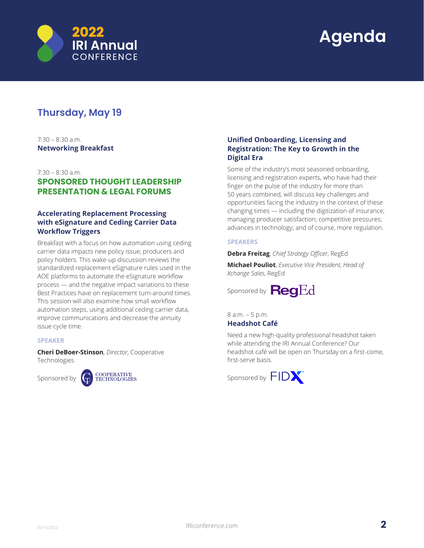

# **Thursday, May 19**

 $7.30 - 8.30$  a.m. **Networking Breakfast**

### 7:30 – 8:30 a.m.

# **SPONSORED THOUGHT LEADERSHIP PRESENTATION & LEGAL FORUMS**

# **Accelerating Replacement Processing with eSignature and Ceding Carrier Data Workflow Triggers**

Breakfast with a focus on how automation using ceding carrier data impacts new policy issue, producers and policy holders. This wake-up discussion reviews the standardized replacement eSignature rules used in the AOE platforms to automate the eSignature workflow process — and the negative impact variations to these Best Practices have on replacement turn-around times. This session will also examine how small workflow automation steps, using additional ceding carrier data, improve communications and decrease the annuity issue cycle time.

#### **SPEAKER**

**Cheri DeBoer-Stinson**, *Director*, Cooperative Technologies





# **Unified Onboarding, Licensing and Registration: The Key to Growth in the Digital Era**

Some of the industry's most seasoned onboarding, licensing and registration experts, who have had their finger on the pulse of the industry for more than 50 years combined, will discuss key challenges and opportunities facing the industry in the context of these changing times — including the digitization of insurance; managing producer satisfaction; competitive pressures; advances in technology; and of course, more regulation.

### **SPEAKERS**

**Debra Freitag**, *Chief Strategy Officer*, RegEd

**Michael Pouliot**, *Executive Vice President, Head of Xchange Sales*, RegEd

Sponsored by **Reg**Ed

8 a.m. – 5 p.m. **Headshot Café**

Need a new high-quality professional headshot taken while attending the IRI Annual Conference? Our headshot café will be open on Thursday on a first-come, first-serve basis.

Sponsored by  $FID$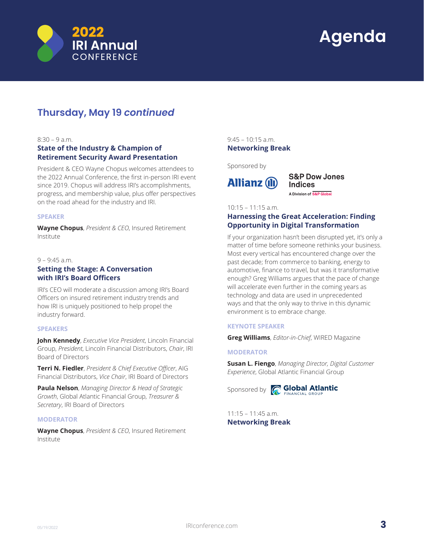



# **Thursday, May 19** *continued*

### $8.30 - 9$  a.m.

# **State of the Industry & Champion of Retirement Security Award Presentation**

President & CEO Wayne Chopus welcomes attendees to the 2022 Annual Conference, the first in-person IRI event since 2019. Chopus will address IRI's accomplishments, progress, and membership value, plus offer perspectives on the road ahead for the industry and IRI.

### **SPEAKER**

**Wayne Chopus**, *President & CEO*, Insured Retirement Institute

#### 9 – 9:45 a.m.

# **Setting the Stage: A Conversation with IRI's Board Officers**

IRI's CEO will moderate a discussion among IRI's Board Officers on insured retirement industry trends and how IRI is uniquely positioned to help propel the industry forward.

### **SPEAKERS**

**John Kennedy**, *Executive Vice President*, Lincoln Financial Group, *President*, Lincoln Financial Distributors, *Chair*, IRI Board of Directors

**Terri N. Fiedler**, *President & Chief Executive Officer*, AIG Financial Distributors, *Vice Chair*, IRI Board of Directors

**Paula Nelson**, *Managing Director & Head of Strategic Growth*, Global Atlantic Financial Group, *Treasurer & Secretary*, IRI Board of Directors

### **MODERATOR**

**Wayne Chopus**, *President & CEO*, Insured Retirement Institute

 $9.45 - 10.15$  a.m. **Networking Break**

Sponsored by



**S&P Dow Jones Indices** A Division of S&P Global

10:15 – 11:15 a.m.

# **Harnessing the Great Acceleration: Finding Opportunity in Digital Transformation**

If your organization hasn't been disrupted yet, it's only a matter of time before someone rethinks your business. Most every vertical has encountered change over the past decade; from commerce to banking, energy to automotive, finance to travel, but was it transformative enough? Greg Williams argues that the pace of change will accelerate even further in the coming years as technology and data are used in unprecedented ways and that the only way to thrive in this dynamic environment is to embrace change.

## **KEYNOTE SPEAKER**

**Greg Williams**, *Editor-in-Chief*, WIRED Magazine

### **MODERATOR**

**Susan L. Fiengo**, *Managing Director, Digital Customer Experience*, Global Atlantic Financial Group



Sponsored by **C Global Atlantic** 

 $11:15 - 11:45$  a.m. **Networking Break**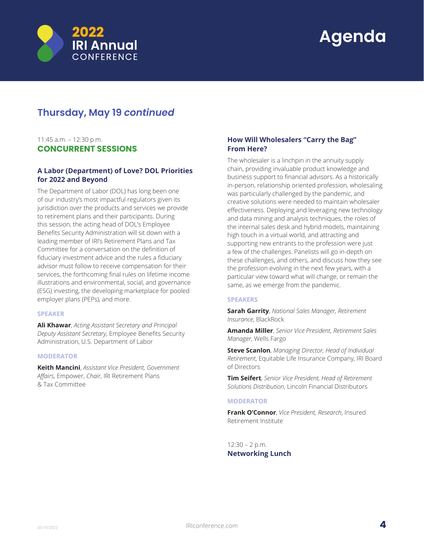

# **Thursday, May 19** *continued*

# 11:45 a.m. – 12:30 p.m. **CONCURRENT SESSIONS**

# **A Labor (Department) of Love? DOL Priorities for 2022 and Beyond**

The Department of Labor (DOL) has long been one of our industry's most impactful regulators given its jurisdiction over the products and services we provide to retirement plans and their participants. During this session, the acting head of DOL's Employee Benefits Security Administration will sit down with a leading member of IRI's Retirement Plans and Tax Committee for a conversation on the definition of fiduciary investment advice and the rules a fiduciary advisor must follow to receive compensation for their services, the forthcoming final rules on lifetime income illustrations and environmental, social, and governance (ESG) investing, the developing marketplace for pooled employer plans (PEPs), and more.

### **SPEAKER**

**Ali Khawar**, *Acting Assistant Secretary and Principal Deputy Assistant Secretary*, Employee Benefits Security Administration, U.S. Department of Labor

#### **MODERATOR**

**Keith Mancini**, *Assistant Vice President, Government Affairs*, Empower, *Chair*, IRI Retirement Plans & Tax Committee

# **How Will Wholesalers "Carry the Bag" From Here?**

The wholesaler is a linchpin in the annuity supply chain, providing invaluable product knowledge and business support to financial advisors. As a historically in-person, relationship oriented profession, wholesaling was particularly challenged by the pandemic, and creative solutions were needed to maintain wholesaler effectiveness. Deploying and leveraging new technology and data mining and analysis techniques, the roles of the internal sales desk and hybrid models, maintaining high touch in a virtual world, and attracting and supporting new entrants to the profession were just a few of the challenges. Panelists will go in-depth on these challenges, and others, and discuss how they see the profession evolving in the next few years, with a particular view toward what will change, or remain the same, as we emerge from the pandemic.

### **SPEAKERS**

**Sarah Garrity**, *National Sales Manager, Retirement Insurance*, BlackRock

**Amanda Miller**, *Senior Vice President, Retirement Sales Manager*, Wells Fargo

**Steve Scanlon**, *Managing Director, Head of Individual Retirement*, Equitable Life Insurance Company, IRI Board of Directors

**Tim Seifert**, *Senior Vice President, Head of Retirement Solutions Distribution*, Lincoln Financial Distributors

### **MODERATOR**

**Frank O'Connor**, *Vice President, Research*, Insured Retirement Institute

12:30 – 2 p.m. **Networking Lunch**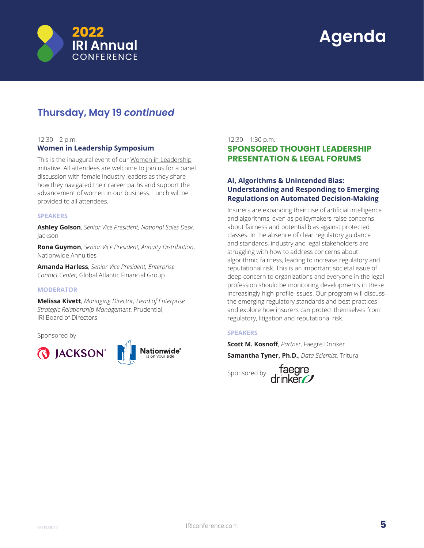

# **Thursday, May 19** *continued*

### 12:30 – 2 p.m.

## **Women in Leadership Symposium**

This is the inaugural event of our [Women in Leadership]( https://iriconference.com/women-in-leadership/) initiative. All attendees are welcome to join us for a panel discussion with female industry leaders as they share how they navigated their career paths and support the advancement of women in our business. Lunch will be provided to all attendees.

### **SPEAKERS**

**Ashley Golson**, *Senior Vice President, National Sales Desk*, Jackson

**Rona Guymon**, *Senior Vice President, Annuity Distribution*, Nationwide Annuities

**Amanda Harless**, *Senior Vice President, Enterprise Contact Center*, Global Atlantic Financial Group

#### **MODERATOR**

**Melissa Kivett**, *Managing Director, Head of Enterprise Strategic Relationship Management*, Prudential, IRI Board of Directors

Sponsored by



# 12:30 – 1:30 p.m.

# **SPONSORED THOUGHT LEADERSHIP PRESENTATION & LEGAL FORUMS**

# **AI, Algorithms & Unintended Bias: Understanding and Responding to Emerging Regulations on Automated Decision-Making**

Insurers are expanding their use of artificial intelligence and algorithms, even as policymakers raise concerns about fairness and potential bias against protected classes. In the absence of clear regulatory guidance and standards, industry and legal stakeholders are struggling with how to address concerns about algorithmic fairness, leading to increase regulatory and reputational risk. This is an important societal issue of deep concern to organizations and everyone in the legal profession should be monitoring developments in these increasingly high-profile issues. Our program will discuss the emerging regulatory standards and best practices and explore how insurers can protect themselves from regulatory, litigation and reputational risk.

## **SPEAKERS**

**Scott M. Kosnoff**, *Partner*, Faegre Drinker **Samantha Tyner, Ph.D.**, *Data Scientist*, Tritura

taegre<br>rinker

Sponsored by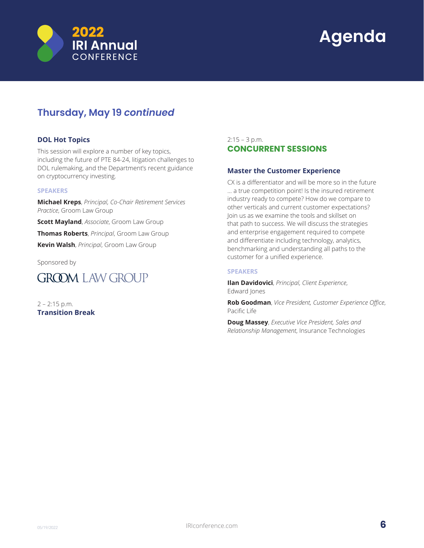

# **Thursday, May 19** *continued*

# **DOL Hot Topics**

This session will explore a number of key topics, including the future of PTE 84-24, litigation challenges to DOL rulemaking, and the Department's recent guidance on cryptocurrency investing.

### **SPEAKERS**

**Michael Kreps**, *Principal, Co-Chair Retirement Services Practice*, Groom Law Group

**Scott Mayland**, *Associate*, Groom Law Group **Thomas Roberts**, *Principal*, Groom Law Group **Kevin Walsh**, *Principal*, Groom Law Group

Sponsored by



2 – 2:15 p.m. **Transition Break**

# $2:15 - 3$  p.m. **CONCURRENT SESSIONS**

# **Master the Customer Experience**

CX is a differentiator and will be more so in the future … a true competition point! Is the insured retirement industry ready to compete? How do we compare to other verticals and current customer expectations? Join us as we examine the tools and skillset on that path to success. We will discuss the strategies and enterprise engagement required to compete and differentiate including technology, analytics, benchmarking and understanding all paths to the customer for a unified experience.

### **SPEAKERS**

**Ilan Davidovici**, *Principal, Client Experience*, Edward Jones

**Rob Goodman**, *Vice President, Customer Experience Office*, Pacific Life

**Doug Massey**, *Executive Vice President, Sales and Relationship Management*, Insurance Technologies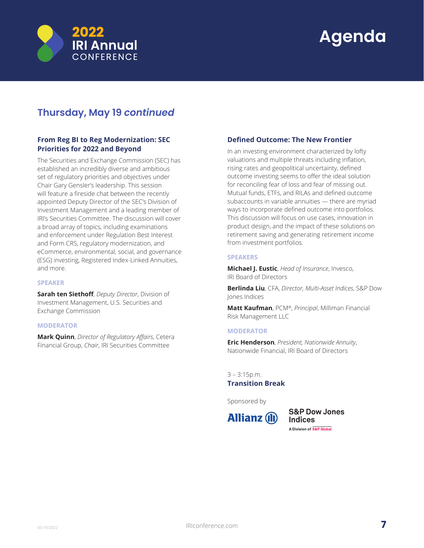

# **Thursday, May 19** *continued*

# **From Reg BI to Reg Modernization: SEC Priorities for 2022 and Beyond**

The Securities and Exchange Commission (SEC) has established an incredibly diverse and ambitious set of regulatory priorities and objectives under Chair Gary Gensler's leadership. This session will feature a fireside chat between the recently appointed Deputy Director of the SEC's Division of Investment Management and a leading member of IRI's Securities Committee. The discussion will cover a broad array of topics, including examinations and enforcement under Regulation Best Interest and Form CRS, regulatory modernization, and eCommerce, environmental, social, and governance (ESG) investing, Registered Index-Linked Annuities, and more.

## **SPEAKER**

**Sarah ten Siethoff**, *Deputy Director*, Division of Investment Management, U.S. Securities and Exchange Commission

## **MODERATOR**

**Mark Quinn**, *Director of Regulatory Affairs*, Cetera Financial Group, *Chair*, IRI Securities Committee

# **Defined Outcome: The New Frontier**

In an investing environment characterized by lofty valuations and multiple threats including inflation, rising rates and geopolitical uncertainty, defined outcome investing seems to offer the ideal solution for reconciling fear of loss and fear of missing out. Mutual funds, ETFs, and RILAs and defined outcome subaccounts in variable annuities — there are myriad ways to incorporate defined outcome into portfolios. This discussion will focus on use cases, innovation in product design, and the impact of these solutions on retirement saving and generating retirement income from investment portfolios.

### **SPEAKERS**

**Michael J. Eustic**, *Head of Insurance*, Invesco, IRI Board of Directors

**Berlinda Liu**, CFA, *Director, Multi-Asset Indices*, S&P Dow Jones Indices

**Matt Kaufman**, PCM®, *Principal*, Milliman Financial Risk Management LLC

### **MODERATOR**

**Eric Henderson**, *President, Nationwide Annuity*, Nationwide Financial, IRI Board of Directors

3 – 3:15p.m. **Transition Break**

Sponsored by



**S&P Dow Jones Indices** A Division of S&P Global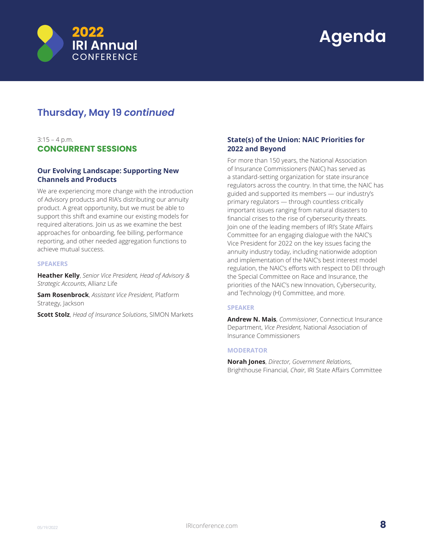

# **Thursday, May 19** *continued*

# $3:15 - 4 p.m.$ **CONCURRENT SESSIONS**

# **Our Evolving Landscape: Supporting New Channels and Products**

We are experiencing more change with the introduction of Advisory products and RIA's distributing our annuity product. A great opportunity, but we must be able to support this shift and examine our existing models for required alterations. Join us as we examine the best approaches for onboarding, fee billing, performance reporting, and other needed aggregation functions to achieve mutual success.

### **SPEAKERS**

**Heather Kelly**, *Senior Vice President, Head of Advisory & Strategic Accounts*, Allianz Life

**Sam Rosenbrock**, *Assistant Vice President*, Platform Strategy, Jackson

**Scott Stolz**, *Head of Insurance Solutions*, SIMON Markets

# **State(s) of the Union: NAIC Priorities for 2022 and Beyond**

For more than 150 years, the National Association of Insurance Commissioners (NAIC) has served as a standard-setting organization for state insurance regulators across the country. In that time, the NAIC has guided and supported its members — our industry's primary regulators — through countless critically important issues ranging from natural disasters to financial crises to the rise of cybersecurity threats. Join one of the leading members of IRI's State Affairs Committee for an engaging dialogue with the NAIC's Vice President for 2022 on the key issues facing the annuity industry today, including nationwide adoption and implementation of the NAIC's best interest model regulation, the NAIC's efforts with respect to DEI through the Special Committee on Race and Insurance, the priorities of the NAIC's new Innovation, Cybersecurity, and Technology (H) Committee, and more.

## **SPEAKER**

**Andrew N. Mais**, *Commissioner*, Connecticut Insurance Department, *Vice President*, National Association of Insurance Commissioners

### **MODERATOR**

**Norah Jones**, *Director, Government Relations*, Brighthouse Financial, *Chair*, IRI State Affairs Committee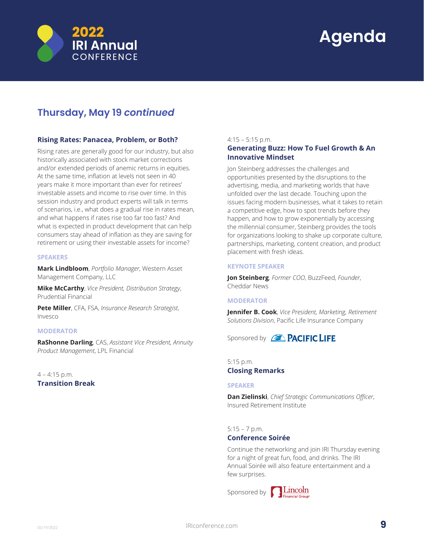

# **Thursday, May 19** *continued*

# **Rising Rates: Panacea, Problem, or Both?**

Rising rates are generally good for our industry, but also historically associated with stock market corrections and/or extended periods of anemic returns in equities. At the same time, inflation at levels not seen in 40 years make it more important than ever for retirees' investable assets and income to rise over time. In this session industry and product experts will talk in terms of scenarios, i.e., what does a gradual rise in rates mean, and what happens if rates rise too far too fast? And what is expected in product development that can help consumers stay ahead of inflation as they are saving for retirement or using their investable assets for income?

### **SPEAKERS**

**Mark Lindbloom**, *Portfolio Manager*, Western Asset Management Company, LLC

**Mike McCarthy**, *Vice President, Distribution Strategy*, Prudential Financial

**Pete Miller**, CFA, FSA, *Insurance Research Strategist*, Invesco

### **MODERATOR**

**RaShonne Darling**, CAS, *Assistant Vice President, Annuity Product Management*, LPL Financial

## $4 - 4:15$  p.m. **Transition Break**

### 4:15 – 5:15 p.m.

## **Generating Buzz: How To Fuel Growth & An Innovative Mindset**

Jon Steinberg addresses the challenges and opportunities presented by the disruptions to the advertising, media, and marketing worlds that have unfolded over the last decade. Touching upon the issues facing modern businesses, what it takes to retain a competitive edge, how to spot trends before they happen, and how to grow exponentially by accessing the millennial consumer, Steinberg provides the tools for organizations looking to shake up corporate culture, partnerships, marketing, content creation, and product placement with fresh ideas.

#### **KEYNOTE SPEAKER**

**Jon Steinberg**, *Former COO*, BuzzFeed, *Founder*, Cheddar News

### **MODERATOR**

**Jennifer B. Cook**, *Vice President, Marketing, Retirement Solutions Division*, Pacific Life Insurance Company

Sponsored by **AL PACIFIC LIFE** 

5:15 p.m. **Closing Remarks** 

#### **SPEAKER**

**Dan Zielinski**, *Chief Strategic Communications Officer*, Insured Retirement Institute

5:15 – 7 p.m.

### **Conference Soirée**

Continue the networking and join IRI Thursday evening for a night of great fun, food, and drinks. The IRI Annual Soirée will also feature entertainment and a few surprises.

Sponsored by **Constanting Lincoln**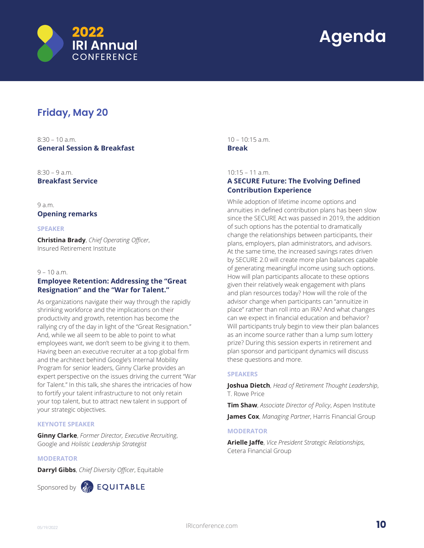

# **Friday, May 20**

 $8:30 - 10a$  m **General Session & Breakfast**

8:30 – 9 a.m. **Breakfast Service**

9 a.m. **Opening remarks**

### **SPEAKER**

**Christina Brady**, *Chief Operating Officer*, Insured Retirement Institute

### $9 - 10$  a.m.

# **Employee Retention: Addressing the "Great Resignation" and the "War for Talent."**

As organizations navigate their way through the rapidly shrinking workforce and the implications on their productivity and growth, retention has become the rallying cry of the day in light of the "Great Resignation." And, while we all seem to be able to point to what employees want, we don't seem to be giving it to them. Having been an executive recruiter at a top global firm and the architect behind Google's Internal Mobility Program for senior leaders, Ginny Clarke provides an expert perspective on the issues driving the current "War for Talent." In this talk, she shares the intricacies of how to fortify your talent infrastructure to not only retain your top talent, but to attract new talent in support of your strategic objectives.

## **KEYNOTE SPEAKER**

**Ginny Clarke**, *Former Director, Executive Recruiting*, Google and *Holistic Leadership Strategist*

## **MODERATOR**

**Darryl Gibbs**, *Chief Diversity Officer*, Equitable



Sponsored by **COUITABLE** 

 $10 - 10.15$  a.m. **Break**

10:15 – 11 a.m.

# **A SECURE Future: The Evolving Defined Contribution Experience**

While adoption of lifetime income options and annuities in defined contribution plans has been slow since the SECURE Act was passed in 2019, the addition of such options has the potential to dramatically change the relationships between participants, their plans, employers, plan administrators, and advisors. At the same time, the increased savings rates driven by SECURE 2.0 will create more plan balances capable of generating meaningful income using such options. How will plan participants allocate to these options given their relatively weak engagement with plans and plan resources today? How will the role of the advisor change when participants can "annuitize in place" rather than roll into an IRA? And what changes can we expect in financial education and behavior? Will participants truly begin to view their plan balances as an income source rather than a lump sum lottery prize? During this session experts in retirement and plan sponsor and participant dynamics will discuss these questions and more.

### **SPEAKERS**

**Joshua Dietch**, *Head of Retirement Thought Leadership*, T. Rowe Price

**Tim Shaw**, *Associate Director of Policy*, Aspen Institute

**James Cox**, *Managing Partner*, Harris Financial Group

### **MODERATOR**

**Arielle Jaffe**, *Vice President Strategic Relationships*, Cetera Financial Group